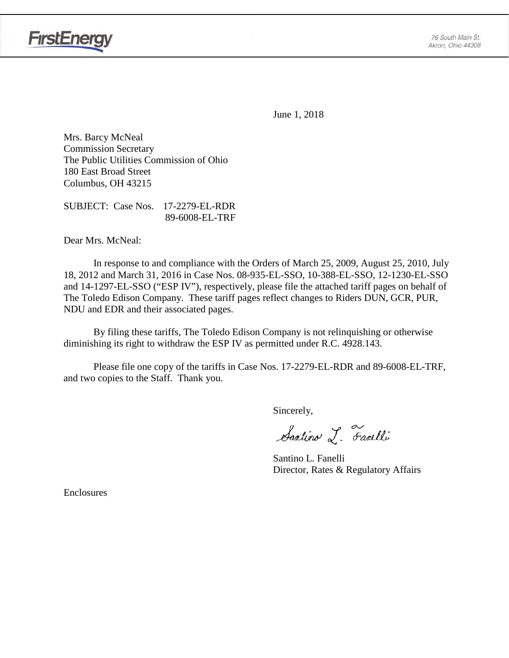

**FirstEnergy** 

June 1, 2018

Mrs. Barcy McNeal Commission Secretary The Public Utilities Commission of Ohio 180 East Broad Street Columbus, OH 43215

SUBJECT: Case Nos. 17-2279-EL-RDR 89-6008-EL-TRF

Dear Mrs. McNeal:

In response to and compliance with the Orders of March 25, 2009, August 25, 2010, July 18, 2012 and March 31, 2016 in Case Nos. 08-935-EL-SSO, 10-388-EL-SSO, 12-1230-EL-SSO and 14-1297-EL-SSO ("ESP IV"), respectively, please file the attached tariff pages on behalf of The Toledo Edison Company. These tariff pages reflect changes to Riders DUN, GCR, PUR, NDU and EDR and their associated pages.

By filing these tariffs, The Toledo Edison Company is not relinquishing or otherwise diminishing its right to withdraw the ESP IV as permitted under R.C. 4928.143.

Please file one copy of the tariffs in Case Nos. 17-2279-EL-RDR and 89-6008-EL-TRF, and two copies to the Staff. Thank you.

Sincerely,

Santino L. Farelli

Santino L. Fanelli Director, Rates & Regulatory Affairs

Enclosures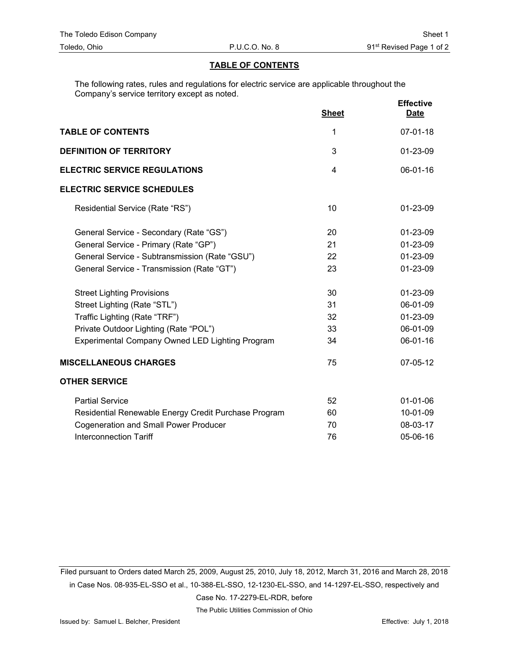## **TABLE OF CONTENTS**

The following rates, rules and regulations for electric service are applicable throughout the Company's service territory except as noted.

|                                                        | <b>Sheet</b> | <b>Effective</b><br><b>Date</b> |
|--------------------------------------------------------|--------------|---------------------------------|
| <b>TABLE OF CONTENTS</b>                               | 1            | $07 - 01 - 18$                  |
| <b>DEFINITION OF TERRITORY</b>                         | 3            | 01-23-09                        |
| <b>ELECTRIC SERVICE REGULATIONS</b><br>$\overline{4}$  |              | 06-01-16                        |
| <b>ELECTRIC SERVICE SCHEDULES</b>                      |              |                                 |
| Residential Service (Rate "RS")                        | 10           | 01-23-09                        |
| General Service - Secondary (Rate "GS")                | 20           | 01-23-09                        |
| General Service - Primary (Rate "GP")                  | 21           | 01-23-09                        |
| General Service - Subtransmission (Rate "GSU")         | 22           | 01-23-09                        |
| General Service - Transmission (Rate "GT")             | 23           | 01-23-09                        |
| <b>Street Lighting Provisions</b>                      | 30           | 01-23-09                        |
| Street Lighting (Rate "STL")                           | 31           | 06-01-09                        |
| Traffic Lighting (Rate "TRF")                          | 32           | 01-23-09                        |
| Private Outdoor Lighting (Rate "POL")                  | 33           | 06-01-09                        |
| <b>Experimental Company Owned LED Lighting Program</b> | 34           | 06-01-16                        |
| <b>MISCELLANEOUS CHARGES</b>                           | 75           | 07-05-12                        |
| <b>OTHER SERVICE</b>                                   |              |                                 |
| <b>Partial Service</b>                                 | 52           | $01 - 01 - 06$                  |
| Residential Renewable Energy Credit Purchase Program   | 60           | 10-01-09                        |
| <b>Cogeneration and Small Power Producer</b>           | 70           | 08-03-17                        |
| <b>Interconnection Tariff</b>                          | 76           | 05-06-16                        |

Filed pursuant to Orders dated March 25, 2009, August 25, 2010, July 18, 2012, March 31, 2016 and March 28, 2018 in Case Nos. 08-935-EL-SSO et al., 10-388-EL-SSO, 12-1230-EL-SSO, and 14-1297-EL-SSO, respectively and

Case No. 17-2279-EL-RDR, before

The Public Utilities Commission of Ohio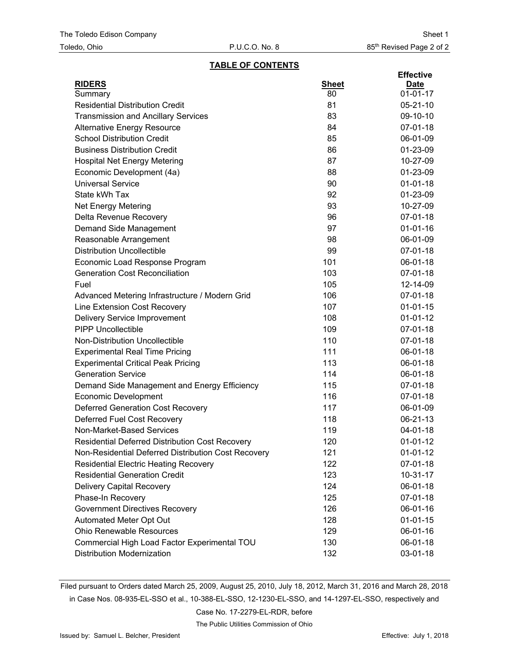### **TABLE OF CONTENTS**

|                                                     |              | <b>Effective</b> |
|-----------------------------------------------------|--------------|------------------|
| <b>RIDERS</b>                                       | <b>Sheet</b> | <b>Date</b>      |
| Summary                                             | 80           | $01 - 01 - 17$   |
| <b>Residential Distribution Credit</b>              | 81           | $05 - 21 - 10$   |
| <b>Transmission and Ancillary Services</b>          | 83           | 09-10-10         |
| <b>Alternative Energy Resource</b>                  | 84           | 07-01-18         |
| <b>School Distribution Credit</b>                   | 85           | 06-01-09         |
| <b>Business Distribution Credit</b>                 | 86           | 01-23-09         |
| <b>Hospital Net Energy Metering</b>                 | 87           | 10-27-09         |
| Economic Development (4a)                           | 88           | 01-23-09         |
| <b>Universal Service</b>                            | 90           | $01 - 01 - 18$   |
| State kWh Tax                                       | 92           | 01-23-09         |
| <b>Net Energy Metering</b>                          | 93           | 10-27-09         |
| Delta Revenue Recovery                              | 96           | 07-01-18         |
| Demand Side Management                              | 97           | $01 - 01 - 16$   |
| Reasonable Arrangement                              | 98           | 06-01-09         |
| <b>Distribution Uncollectible</b>                   | 99           | 07-01-18         |
| Economic Load Response Program                      | 101          | 06-01-18         |
| <b>Generation Cost Reconciliation</b>               | 103          | 07-01-18         |
| Fuel                                                | 105          | 12-14-09         |
| Advanced Metering Infrastructure / Modern Grid      | 106          | 07-01-18         |
| Line Extension Cost Recovery                        | 107          | $01 - 01 - 15$   |
| <b>Delivery Service Improvement</b>                 | 108          | $01 - 01 - 12$   |
| <b>PIPP Uncollectible</b>                           | 109          | 07-01-18         |
| Non-Distribution Uncollectible                      | 110          | 07-01-18         |
| <b>Experimental Real Time Pricing</b>               | 111          | 06-01-18         |
| <b>Experimental Critical Peak Pricing</b>           | 113          | 06-01-18         |
| <b>Generation Service</b>                           | 114          | 06-01-18         |
| Demand Side Management and Energy Efficiency        | 115          | 07-01-18         |
| <b>Economic Development</b>                         | 116          | 07-01-18         |
| <b>Deferred Generation Cost Recovery</b>            | 117          | 06-01-09         |
| Deferred Fuel Cost Recovery                         | 118          | 06-21-13         |
| Non-Market-Based Services                           | 119          | 04-01-18         |
| Residential Deferred Distribution Cost Recovery     | 120          | $01-01-12$       |
| Non-Residential Deferred Distribution Cost Recovery | 121          | $01-01-12$       |
| <b>Residential Electric Heating Recovery</b>        | 122          | 07-01-18         |
| <b>Residential Generation Credit</b>                | 123          | $10-31-17$       |
| <b>Delivery Capital Recovery</b>                    | 124          | 06-01-18         |
| Phase-In Recovery                                   | 125          | 07-01-18         |
| <b>Government Directives Recovery</b>               | 126          | 06-01-16         |
| Automated Meter Opt Out                             | 128          | $01 - 01 - 15$   |
| <b>Ohio Renewable Resources</b>                     | 129          | 06-01-16         |
| Commercial High Load Factor Experimental TOU        | 130          | 06-01-18         |
| <b>Distribution Modernization</b>                   | 132          | 03-01-18         |

Filed pursuant to Orders dated March 25, 2009, August 25, 2010, July 18, 2012, March 31, 2016 and March 28, 2018 in Case Nos. 08-935-EL-SSO et al., 10-388-EL-SSO, 12-1230-EL-SSO, and 14-1297-EL-SSO, respectively and

Case No. 17-2279-EL-RDR, before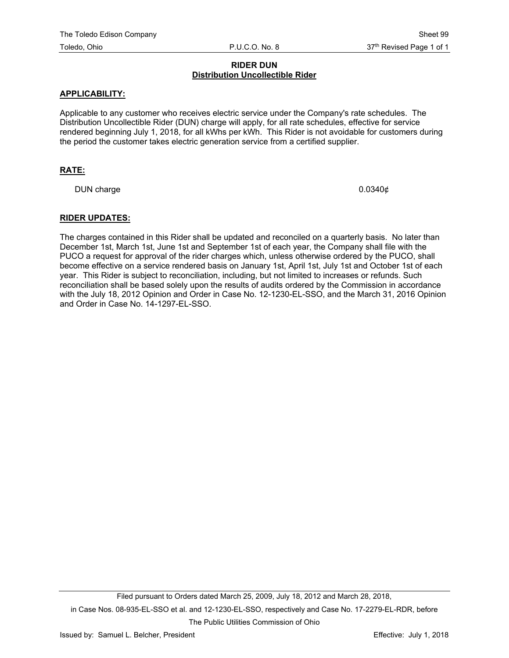## **RIDER DUN Distribution Uncollectible Rider**

## **APPLICABILITY:**

Applicable to any customer who receives electric service under the Company's rate schedules. The Distribution Uncollectible Rider (DUN) charge will apply, for all rate schedules, effective for service rendered beginning July 1, 2018, for all kWhs per kWh. This Rider is not avoidable for customers during the period the customer takes electric generation service from a certified supplier.

## **RATE:**

DUN charge  $0.0340\phi$ 

#### **RIDER UPDATES:**

The charges contained in this Rider shall be updated and reconciled on a quarterly basis. No later than December 1st, March 1st, June 1st and September 1st of each year, the Company shall file with the PUCO a request for approval of the rider charges which, unless otherwise ordered by the PUCO, shall become effective on a service rendered basis on January 1st, April 1st, July 1st and October 1st of each year. This Rider is subject to reconciliation, including, but not limited to increases or refunds. Such reconciliation shall be based solely upon the results of audits ordered by the Commission in accordance with the July 18, 2012 Opinion and Order in Case No. 12-1230-EL-SSO, and the March 31, 2016 Opinion and Order in Case No. 14-1297-EL-SSO.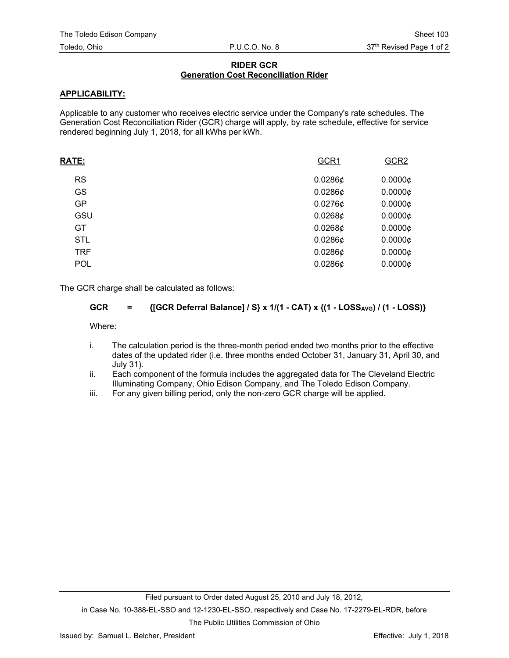# **RIDER GCR Generation Cost Reconciliation Rider**

# **APPLICABILITY:**

Applicable to any customer who receives electric service under the Company's rate schedules. The Generation Cost Reconciliation Rider (GCR) charge will apply, by rate schedule, effective for service rendered beginning July 1, 2018, for all kWhs per kWh.

| <b>RATE:</b> | GCR1       | GCR <sub>2</sub> |
|--------------|------------|------------------|
| <b>RS</b>    | $0.0286$ ¢ | $0.0000 \phi$    |
| GS           | $0.0286$ ¢ | $0.0000 \notin$  |
| GP           | 0.02766    | $0.0000 \notin$  |
| GSU          | 0.02686    | $0.0000 \phi$    |
| GT           | 0.02686    | $0.0000 \notin$  |
| <b>STL</b>   | $0.0286$ ¢ | $0.0000 \notin$  |
| <b>TRF</b>   | $0.0286$ ¢ | $0.0000 \notin$  |
| POL          | $0.0286$ ¢ | 0.00006          |
|              |            |                  |

The GCR charge shall be calculated as follows:

$$
GCR = \{ [GCR \, \text{Deferral \, \, \, \text{Balance}]} / S \} \times 1/(1 - CAT) \times \{ (1 - \text{LOSS}_{\text{AVG}}) / (1 - \text{LOSS}) \}
$$

Where:

- i. The calculation period is the three-month period ended two months prior to the effective dates of the updated rider (i.e. three months ended October 31, January 31, April 30, and July 31).
- ii. Each component of the formula includes the aggregated data for The Cleveland Electric Illuminating Company, Ohio Edison Company, and The Toledo Edison Company.
- iii. For any given billing period, only the non-zero GCR charge will be applied.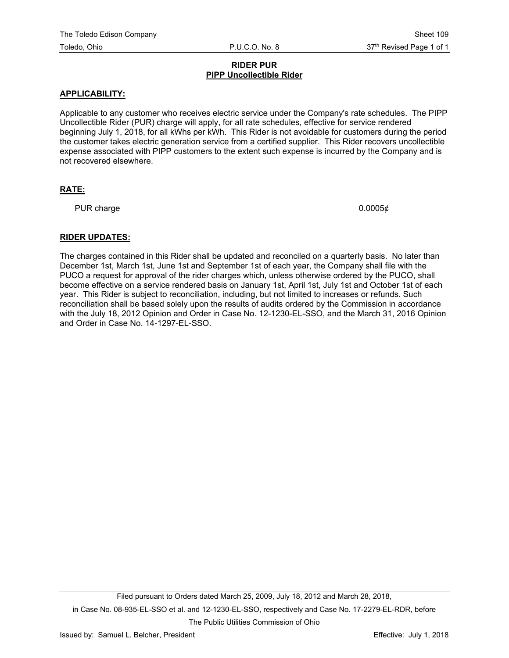## **RIDER PUR PIPP Uncollectible Rider**

## **APPLICABILITY:**

Applicable to any customer who receives electric service under the Company's rate schedules. The PIPP Uncollectible Rider (PUR) charge will apply, for all rate schedules, effective for service rendered beginning July 1, 2018, for all kWhs per kWh. This Rider is not avoidable for customers during the period the customer takes electric generation service from a certified supplier. This Rider recovers uncollectible expense associated with PIPP customers to the extent such expense is incurred by the Company and is not recovered elsewhere.

# **RATE:**

PUR charge  $0.0005\ell$ 

## **RIDER UPDATES:**

The charges contained in this Rider shall be updated and reconciled on a quarterly basis. No later than December 1st, March 1st, June 1st and September 1st of each year, the Company shall file with the PUCO a request for approval of the rider charges which, unless otherwise ordered by the PUCO, shall become effective on a service rendered basis on January 1st, April 1st, July 1st and October 1st of each year. This Rider is subject to reconciliation, including, but not limited to increases or refunds. Such reconciliation shall be based solely upon the results of audits ordered by the Commission in accordance with the July 18, 2012 Opinion and Order in Case No. 12-1230-EL-SSO, and the March 31, 2016 Opinion and Order in Case No. 14-1297-EL-SSO.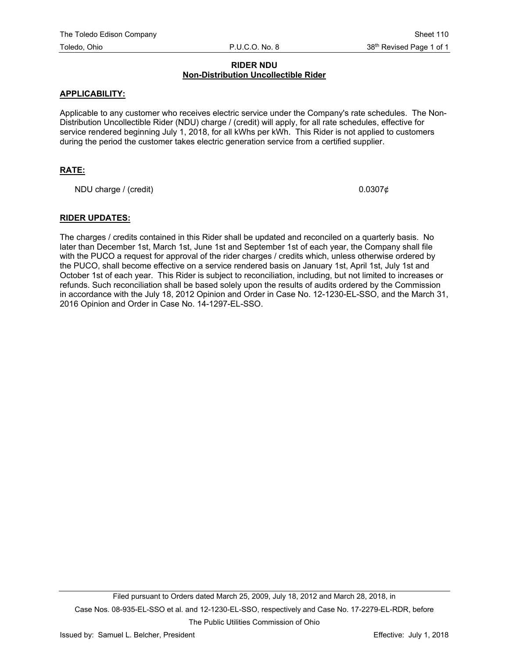## **RIDER NDU Non-Distribution Uncollectible Rider**

## **APPLICABILITY:**

Applicable to any customer who receives electric service under the Company's rate schedules. The Non-Distribution Uncollectible Rider (NDU) charge / (credit) will apply, for all rate schedules, effective for service rendered beginning July 1, 2018, for all kWhs per kWh. This Rider is not applied to customers during the period the customer takes electric generation service from a certified supplier.

## **RATE:**

NDU charge / (credit)  $0.0307\phi$ 

## **RIDER UPDATES:**

The charges / credits contained in this Rider shall be updated and reconciled on a quarterly basis. No later than December 1st, March 1st, June 1st and September 1st of each year, the Company shall file with the PUCO a request for approval of the rider charges / credits which, unless otherwise ordered by the PUCO, shall become effective on a service rendered basis on January 1st, April 1st, July 1st and October 1st of each year. This Rider is subject to reconciliation, including, but not limited to increases or refunds. Such reconciliation shall be based solely upon the results of audits ordered by the Commission in accordance with the July 18, 2012 Opinion and Order in Case No. 12-1230-EL-SSO, and the March 31, 2016 Opinion and Order in Case No. 14-1297-EL-SSO.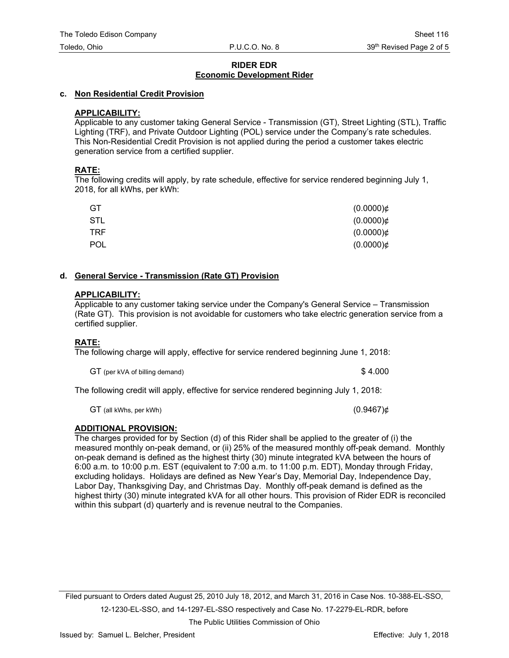## **RIDER EDR Economic Development Rider**

## **c. Non Residential Credit Provision**

## **APPLICABILITY:**

Applicable to any customer taking General Service - Transmission (GT), Street Lighting (STL), Traffic Lighting (TRF), and Private Outdoor Lighting (POL) service under the Company's rate schedules. This Non-Residential Credit Provision is not applied during the period a customer takes electric generation service from a certified supplier.

## **RATE:**

The following credits will apply, by rate schedule, effective for service rendered beginning July 1, 2018, for all kWhs, per kWh:

| GT         | $(0.0000)$ ¢ |
|------------|--------------|
| STL        | $(0.0000)$ ¢ |
| TRF.       | $(0.0000)$ ¢ |
| <b>POL</b> | $(0.0000)$ ¢ |

#### **d. General Service - Transmission (Rate GT) Provision**

#### **APPLICABILITY:**

Applicable to any customer taking service under the Company's General Service – Transmission (Rate GT). This provision is not avoidable for customers who take electric generation service from a certified supplier.

## **RATE:**

The following charge will apply, effective for service rendered beginning June 1, 2018:

| GT (per kVA of billing demand) | \$4.000 |
|--------------------------------|---------|
|--------------------------------|---------|

The following credit will apply, effective for service rendered beginning July 1, 2018:

 $GT$  (all kWhs, per kWh) (0.9467) $\phi$ 

## **ADDITIONAL PROVISION:**

The charges provided for by Section (d) of this Rider shall be applied to the greater of (i) the measured monthly on-peak demand, or (ii) 25% of the measured monthly off-peak demand. Monthly on-peak demand is defined as the highest thirty (30) minute integrated kVA between the hours of 6:00 a.m. to 10:00 p.m. EST (equivalent to 7:00 a.m. to 11:00 p.m. EDT), Monday through Friday, excluding holidays. Holidays are defined as New Year's Day, Memorial Day, Independence Day, Labor Day, Thanksgiving Day, and Christmas Day. Monthly off-peak demand is defined as the highest thirty (30) minute integrated kVA for all other hours. This provision of Rider EDR is reconciled within this subpart (d) quarterly and is revenue neutral to the Companies.

Filed pursuant to Orders dated August 25, 2010 July 18, 2012, and March 31, 2016 in Case Nos. 10-388-EL-SSO, 12-1230-EL-SSO, and 14-1297-EL-SSO respectively and Case No. 17-2279-EL-RDR, before

The Public Utilities Commission of Ohio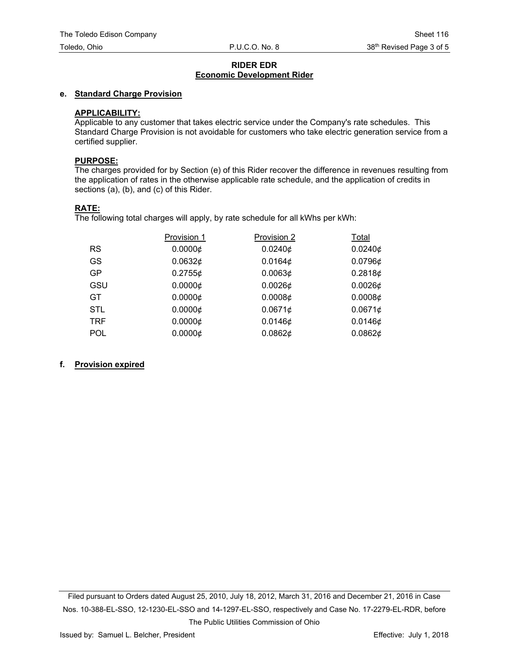## **RIDER EDR Economic Development Rider**

## **e. Standard Charge Provision**

## **APPLICABILITY:**

Applicable to any customer that takes electric service under the Company's rate schedules. This Standard Charge Provision is not avoidable for customers who take electric generation service from a certified supplier.

#### **PURPOSE:**

The charges provided for by Section (e) of this Rider recover the difference in revenues resulting from the application of rates in the otherwise applicable rate schedule, and the application of credits in sections (a), (b), and (c) of this Rider.

#### **RATE:**

The following total charges will apply, by rate schedule for all kWhs per kWh:

|            | Provision 1     | Provision 2 | Total      |
|------------|-----------------|-------------|------------|
| <b>RS</b>  | 0.00006         | $0.0240$ ¢  | $0.0240$ ¢ |
| GS         | 0.0632¢         | 0.0164¢     | $0.0796$ ¢ |
| <b>GP</b>  | 0.27556         | 0.00636     | 0.2818¢    |
| GSU        | 0.00006         | 0.00266     | $0.0026$ ¢ |
| GT.        | 0.00006         | 0.00086     | 0.00086    |
| <b>STL</b> | 0.00006         | 0.0671¢     | 0.06716    |
| <b>TRF</b> | $0.0000 \notin$ | 0.01466     | 0.01466    |
| <b>POL</b> | 0.00006         | 0.0862¢     | 0.0862¢    |

#### **f. Provision expired**

Filed pursuant to Orders dated August 25, 2010, July 18, 2012, March 31, 2016 and December 21, 2016 in Case Nos. 10-388-EL-SSO, 12-1230-EL-SSO and 14-1297-EL-SSO, respectively and Case No. 17-2279-EL-RDR, before The Public Utilities Commission of Ohio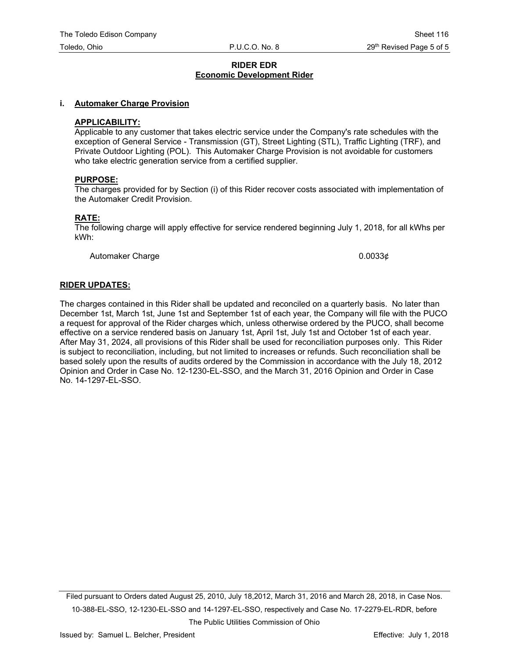#### **RIDER EDR Economic Development Rider**

#### **i. Automaker Charge Provision**

#### **APPLICABILITY:**

Applicable to any customer that takes electric service under the Company's rate schedules with the exception of General Service - Transmission (GT), Street Lighting (STL), Traffic Lighting (TRF), and Private Outdoor Lighting (POL). This Automaker Charge Provision is not avoidable for customers who take electric generation service from a certified supplier.

#### **PURPOSE:**

The charges provided for by Section (i) of this Rider recover costs associated with implementation of the Automaker Credit Provision.

#### **RATE:**

The following charge will apply effective for service rendered beginning July 1, 2018, for all kWhs per kWh:

Automaker Charge  $0.0033\phi$ 

#### **RIDER UPDATES:**

The charges contained in this Rider shall be updated and reconciled on a quarterly basis. No later than December 1st, March 1st, June 1st and September 1st of each year, the Company will file with the PUCO a request for approval of the Rider charges which, unless otherwise ordered by the PUCO, shall become effective on a service rendered basis on January 1st, April 1st, July 1st and October 1st of each year. After May 31, 2024, all provisions of this Rider shall be used for reconciliation purposes only. This Rider is subject to reconciliation, including, but not limited to increases or refunds. Such reconciliation shall be based solely upon the results of audits ordered by the Commission in accordance with the July 18, 2012 Opinion and Order in Case No. 12-1230-EL-SSO, and the March 31, 2016 Opinion and Order in Case No. 14-1297-EL-SSO.

Filed pursuant to Orders dated August 25, 2010, July 18,2012, March 31, 2016 and March 28, 2018, in Case Nos. 10-388-EL-SSO, 12-1230-EL-SSO and 14-1297-EL-SSO, respectively and Case No. 17-2279-EL-RDR, before

The Public Utilities Commission of Ohio